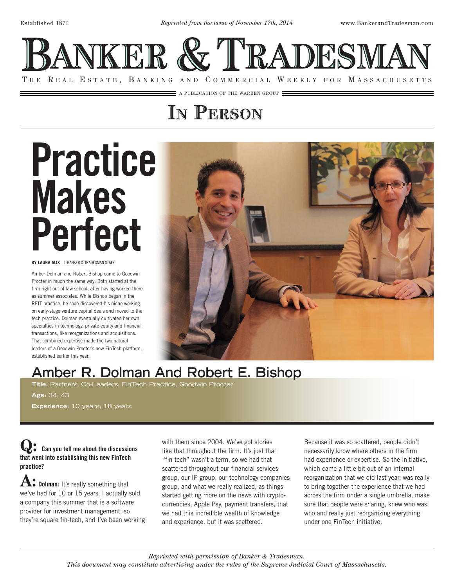

 $\equiv$  a publication of the warren group  $\equiv$ 

## **In Person**

# Practice Makes Perfect

**BY LAURA ALIX |** BANKER & TRADESMAN STAFF

Amber Dolman and Robert Bishop came to Goodwin Procter in much the same way: Both started at the firm right out of law school, after having worked there as summer associates. While Bishop began in the REIT practice, he soon discovered his niche working on early-stage venture capital deals and moved to the tech practice. Dolman eventually cultivated her own specialties in technology, private equity and financial transactions, like reorganizations and acquisitions. That combined expertise made the two natural leaders of a Goodwin Procter's new FinTech platform, established earlier this year.



### **Amber R. Dolman And Robert E. Bishop**

**Title:** Partners, Co-Leaders, FinTech Practice, Goodwin Procter

**Age:** 34; 43 **Experience:** 10 years; 18 years

**Q**: Can you tell me about the discussions that went into establishing this new FinTech practice?

**A: Dolman:** It's really something that we've had for 10 or 15 years. I actually sold a company this summer that is a software provider for investment management, so they're square fin-tech, and I've been working with them since 2004. We've got stories like that throughout the firm. It's just that "fin-tech" wasn't a term, so we had that scattered throughout our financial services group, our IP group, our technology companies group, and what we really realized, as things started getting more on the news with cryptocurrencies, Apple Pay, payment transfers, that we had this incredible wealth of knowledge and experience, but it was scattered.

Because it was so scattered, people didn't necessarily know where others in the firm had experience or expertise. So the initiative, which came a little bit out of an internal reorganization that we did last year, was really to bring together the experience that we had across the firm under a single umbrella, make sure that people were sharing, knew who was who and really just reorganizing everything under one FinTech initiative.